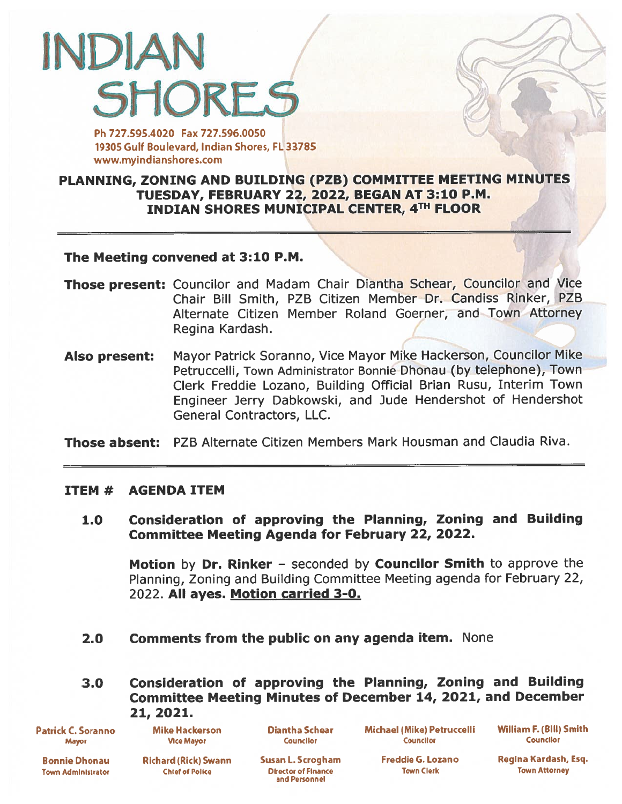# INDIAN **SHORES**

Ph 727.595.4020 Fax 727.596.0050 19305 Gulf Boulevard, Indian Shores, FL 33785 www.myindianshores.com

## PLANNING, ZONING AND BUILDING (PZB) COMMITTEE MEETING MINUTES TUESDAY, FEBRUARY 22, 2022, BEGAN AT 3:10 P.M. INDIAN SHORES MUNICIPAL CENTER, 4TH FLOOR

1'

#### The Meeting convened at 3:10 P.M

- Those present: Councilor and Madam Chair Diantha Schear, Councilor and Vice Chair Bill Smith, PZB Citizen Member Dr. Candiss Rinker, PZB Alternate Citizen Member Roland Goerner, and Town Attorney Regina Kardash.
- Also present: Mayor Patrick Soranno, Vice Mayor Mike Hackerson, Councilor Mike Petruccelli, Town Administrator Bonnie Dhonau (by telephone), Town Clerk Freddie Lozano, Building Official Brian Rusu, Interim Town Engineer Jerry Dabkowski, and Jude Hendershot of hendershot General Contractors, LLC.

Those absent: PZB Alternate Citizen Members Mark Housman and Claudia Riva.

#### ITEM# AGENDA ITEM

1.0 Consideration of approving the Planning, Zoning and Building Committee Meeting Agenda for February 22, 2022.

Motion by Dr. Rinker - seconded by Councilor Smith to approve the Planning, Zoning and Building Committee Meeting agenda for February 22, 2022. All ayes. Motion carried 3-0.

- 2.0 Comments from the public on any agenda item. None
- 3.0 Consideration of approving the Planning, Zoning and Building Committee Meeting Minutes of December 14, 2021, and December 21, 2021.

Patrick C. Soranno Mike Hackerson Diantha Schear Michael (Mike) Petruccelli William F. (Bill) Smith<br>Mayor Mayor Mice Mayor Councilor Councilor Councilor Councilor Councilor Mayor Vice Mayor Councilor Councllo Councior

Town Administrator Chief of Police Director of Finance Town Clerk Town Attorney

and Personnel

Bonnie Dhonau Richard (Rick) Swann Susan L. Scrogham Freddie G. Lozano Regina Kardash, Esq.